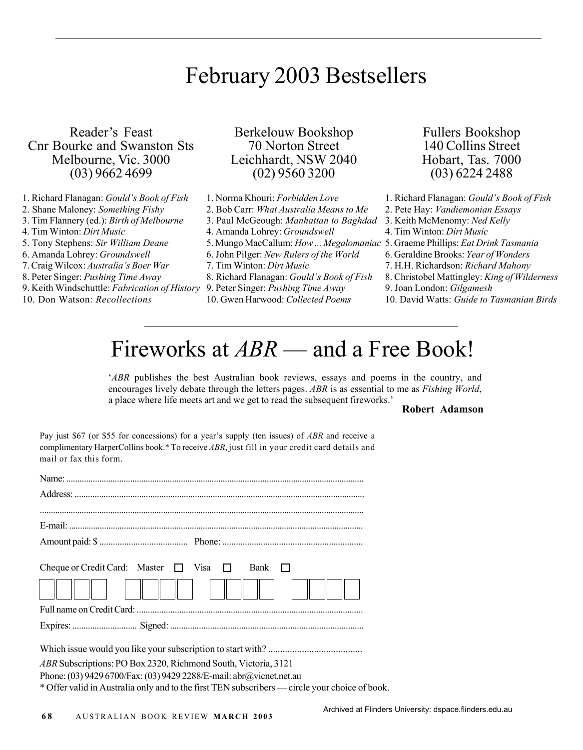## February 2003 Bestsellers

Reader's Feast Cnr Bourke and Swanston Sts Melbourne, Vic. 3000 (03) 9662 4699

- 1. Richard Flanagan: *Gould's Book of Fish*
- 2. Shane Maloney: *Something Fishy*
- 3. Tim Flannery (ed.): *Birth of Melbourne*
- 4. Tim Winton: *Dirt Music*
- 5. Tony Stephens: *Sir William Deane*
- 6. Amanda Lohrey: *Groundswell*
- 7. Craig Wilcox: *Australia's Boer War*
- 8. Peter Singer: *Pushing Time Away*
- 9. Keith Windschuttle: *Fabrication of History*
- 10. Don Watson: *Recollections*

Berkelouw Bookshop 70 Norton Street Leichhardt, NSW 2040 (02) 9560 3200

- 1. Norma Khouri: *Forbidden Love*
- 2. Bob Carr: *What Australia Means to Me*
- 3. Paul McGeough: *Manhattan to Baghdad*
- 4. Amanda Lohrey: *Groundswell*
- 
- 6. John Pilger: *New Rulers of the World*
- 7. Tim Winton: *Dirt Music*
- 8. Richard Flanagan: *Gould's Book of Fish*
- 9. Peter Singer: *Pushing Time Away*
- 10. Gwen Harwood: *Collected Poems*

Fullers Bookshop 140 Collins Street Hobart, Tas. 7000 (03) 6224 2488

- 1. Richard Flanagan: *Gould's Book of Fish*
- 2. Pete Hay: *Vandiemonian Essays*
- 3. Keith McMenomy: *Ned Kelly*
- 4. Tim Winton: *Dirt Music*
- 5. Mungo MacCallum: *How ... Megalomaniac* 5. Graeme Phillips: *Eat Drink Tasmania*
	- 6. Geraldine Brooks: *Year of Wonders*
	- 7. H.H. Richardson: *Richard Mahony*
	- 8. Christobel Mattingley: *King of Wilderness*
	- 9. Joan London: *Gilgamesh*
	- 10. David Watts: *Guide to Tasmanian Birds*

# Fireworks at *ABR* — and a Free Book!

*ABR* publishes the best Australian book reviews, essays and poems in the country, and encourages lively debate through the letters pages. *ABR* is as essential to me as *Fishing World*, a place where life meets art and we get to read the subsequent fireworks.'

#### **Robert Adamson**

Pay just \$67 (or \$55 for concessions) for a year's supply (ten issues) of *ABR* and receive a complimentary HarperCollins book.\* To receive *ABR*, just fill in your credit card details and mail or fax this form.

| Cheque or Credit Card: Master $\Box$ Visa $\Box$                                            | Bank $\Box$ |
|---------------------------------------------------------------------------------------------|-------------|
| $\ \cdot\  \cdot \ \cdot\ $                                                                 |             |
|                                                                                             |             |
|                                                                                             |             |
|                                                                                             |             |
|                                                                                             |             |
| ABR Subscriptions: PO Box 2320, Richmond South, Victoria, 3121                              |             |
| Phone: (03) 9429 6700/Fax: (03) 9429 2288/E-mail: abr@vicnet.net.au                         |             |
| * Offenselid in Assetuation of the data flugt TEM orthogoritans and asset of a state of the |             |

Offer valid in Australia only and to the first TEN subscribers — circle your choice of book.